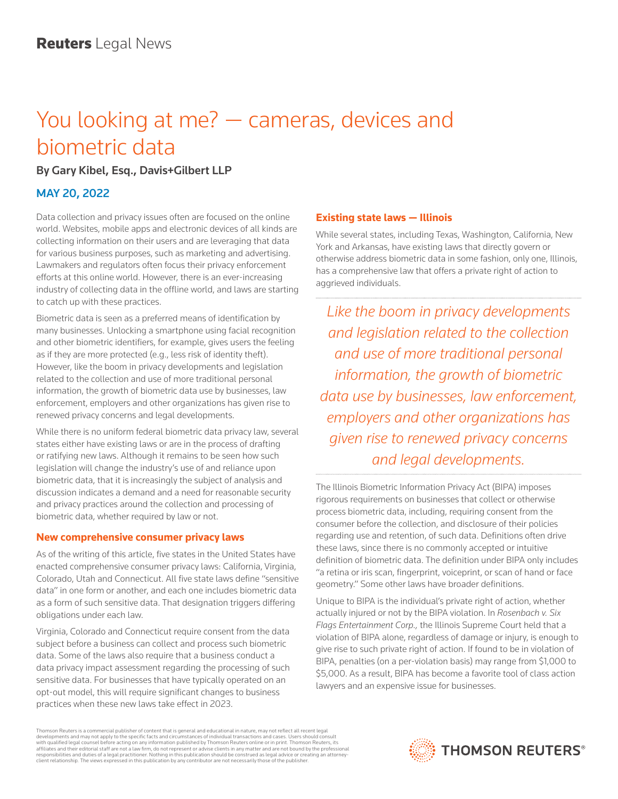# You looking at me? — cameras, devices and biometric data

# By Gary Kibel, Esq., Davis+Gilbert LLP

## MAY 20, 2022

Data collection and privacy issues often are focused on the online world. Websites, mobile apps and electronic devices of all kinds are collecting information on their users and are leveraging that data for various business purposes, such as marketing and advertising. Lawmakers and regulators often focus their privacy enforcement efforts at this online world. However, there is an ever-increasing industry of collecting data in the offline world, and laws are starting to catch up with these practices.

Biometric data is seen as a preferred means of identification by many businesses. Unlocking a smartphone using facial recognition and other biometric identifiers, for example, gives users the feeling as if they are more protected (e.g., less risk of identity theft). However, like the boom in privacy developments and legislation related to the collection and use of more traditional personal information, the growth of biometric data use by businesses, law enforcement, employers and other organizations has given rise to renewed privacy concerns and legal developments.

While there is no uniform federal biometric data privacy law, several states either have existing laws or are in the process of drafting or ratifying new laws. Although it remains to be seen how such legislation will change the industry's use of and reliance upon biometric data, that it is increasingly the subject of analysis and discussion indicates a demand and a need for reasonable security and privacy practices around the collection and processing of biometric data, whether required by law or not.

## **New comprehensive consumer privacy laws**

As of the writing of this article, five states in the United States have enacted comprehensive consumer privacy laws: California, Virginia, Colorado, Utah and Connecticut. All five state laws define "sensitive data" in one form or another, and each one includes biometric data as a form of such sensitive data. That designation triggers differing obligations under each law.

Virginia, Colorado and Connecticut require consent from the data subject before a business can collect and process such biometric data. Some of the laws also require that a business conduct a data privacy impact assessment regarding the processing of such sensitive data. For businesses that have typically operated on an opt-out model, this will require significant changes to business practices when these new laws take effect in 2023.

## **Existing state laws — Illinois**

While several states, including Texas, Washington, California, New York and Arkansas, have existing laws that directly govern or otherwise address biometric data in some fashion, only one, Illinois, has a comprehensive law that offers a private right of action to aggrieved individuals.

*Like the boom in privacy developments and legislation related to the collection and use of more traditional personal information, the growth of biometric data use by businesses, law enforcement, employers and other organizations has given rise to renewed privacy concerns and legal developments.*

The Illinois Biometric Information Privacy Act (BIPA) imposes rigorous requirements on businesses that collect or otherwise process biometric data, including, requiring consent from the consumer before the collection, and disclosure of their policies regarding use and retention, of such data. Definitions often drive these laws, since there is no commonly accepted or intuitive definition of biometric data. The definition under BIPA only includes "a retina or iris scan, fingerprint, voiceprint, or scan of hand or face geometry." Some other laws have broader definitions.

Unique to BIPA is the individual's private right of action, whether actually injured or not by the BIPA violation. In *Rosenbach v. Six Flags Entertainment Corp.,* the Illinois Supreme Court held that a violation of BIPA alone, regardless of damage or injury, is enough to give rise to such private right of action. If found to be in violation of BIPA, penalties (on a per-violation basis) may range from \$1,000 to \$5,000. As a result, BIPA has become a favorite tool of class action lawyers and an expensive issue for businesses.

Thomson Reuters is a commercial publisher of content that is general and educational in nature, may not reflect all recent legal developments and may not apply to the specific facts and circumstances of individual transactions and cases. Users should consult<br>with qualified legal counsel before acting on any information published by Thomson Reuters o responsibilities and duties of a legal practitioner. Nothing in this publication should be construed as legal advice or creating an attorneyclient relationship. The views expressed in this publication by any contributor are not necessarily those of the publisher.